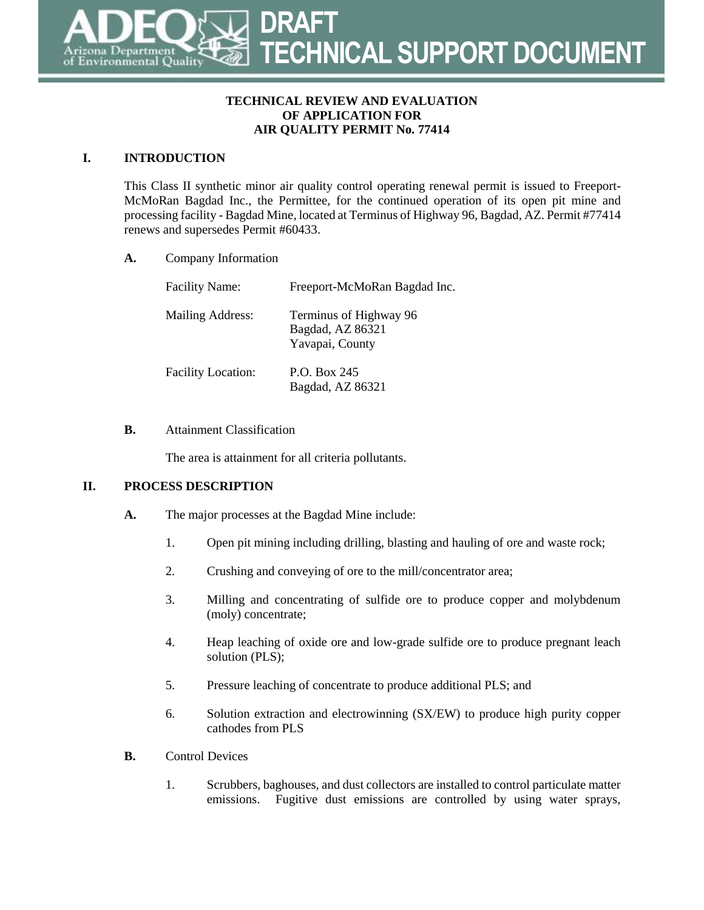#### **TECHNICAL REVIEW AND EVALUATION OF APPLICATION FOR AIR QUALITY PERMIT No. 77414**

# **I. INTRODUCTION**

This Class II synthetic minor air quality control operating renewal permit is issued to Freeport-McMoRan Bagdad Inc., the Permittee, for the continued operation of its open pit mine and processing facility - Bagdad Mine, located at Terminus of Highway 96, Bagdad, AZ. Permit #77414 renews and supersedes Permit #60433.

**A.** Company Information

| <b>Facility Name:</b>     | Freeport-McMoRan Bagdad Inc.                                  |
|---------------------------|---------------------------------------------------------------|
| Mailing Address:          | Terminus of Highway 96<br>Bagdad, AZ 86321<br>Yavapai, County |
| <b>Facility Location:</b> | P.O. Box 245<br>Bagdad, AZ 86321                              |

## **B.** Attainment Classification

The area is attainment for all criteria pollutants.

## **II. PROCESS DESCRIPTION**

- **A.** The major processes at the Bagdad Mine include:
	- 1. Open pit mining including drilling, blasting and hauling of ore and waste rock;
	- 2. Crushing and conveying of ore to the mill/concentrator area;
	- 3. Milling and concentrating of sulfide ore to produce copper and molybdenum (moly) concentrate;
	- 4. Heap leaching of oxide ore and low-grade sulfide ore to produce pregnant leach solution (PLS);
	- 5. Pressure leaching of concentrate to produce additional PLS; and
	- 6. Solution extraction and electrowinning (SX/EW) to produce high purity copper cathodes from PLS
- **B.** Control Devices
	- 1. Scrubbers, baghouses, and dust collectors are installed to control particulate matter emissions. Fugitive dust emissions are controlled by using water sprays,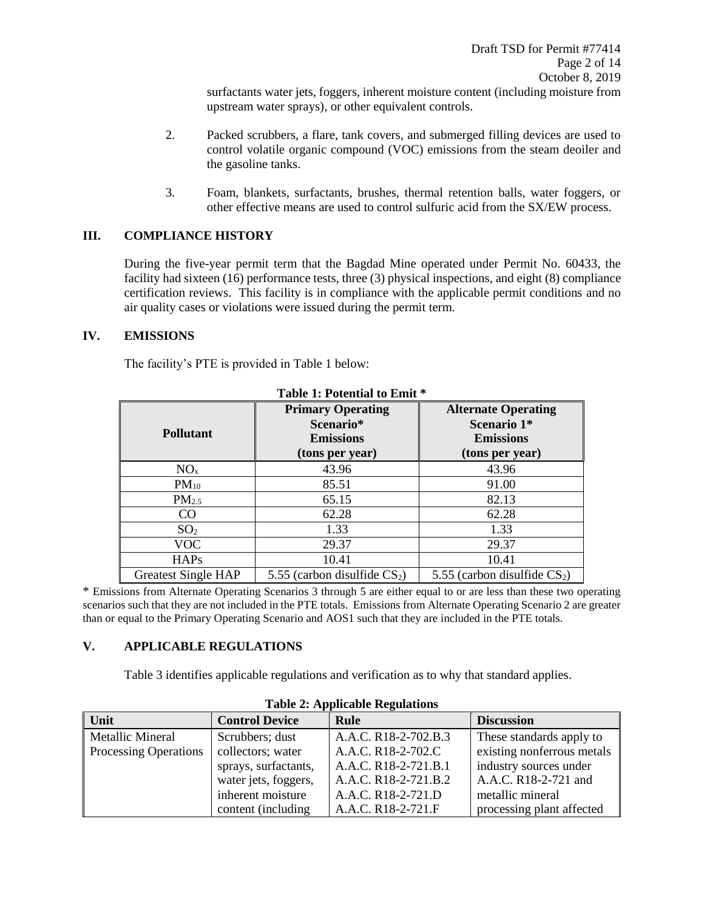surfactants water jets, foggers, inherent moisture content (including moisture from upstream water sprays), or other equivalent controls.

- 2. Packed scrubbers, a flare, tank covers, and submerged filling devices are used to control volatile organic compound (VOC) emissions from the steam deoiler and the gasoline tanks.
- 3. Foam, blankets, surfactants, brushes, thermal retention balls, water foggers, or other effective means are used to control sulfuric acid from the SX/EW process.

#### **III. COMPLIANCE HISTORY**

During the five-year permit term that the Bagdad Mine operated under Permit No. 60433, the facility had sixteen (16) performance tests, three (3) physical inspections, and eight (8) compliance certification reviews. This facility is in compliance with the applicable permit conditions and no air quality cases or violations were issued during the permit term.

#### **IV. EMISSIONS**

The facility's PTE is provided in Table 1 below:

| <b>Pollutant</b>           | <b>Primary Operating</b><br>Scenario*<br><b>Emissions</b><br>(tons per year) | <b>Alternate Operating</b><br>Scenario 1*<br><b>Emissions</b><br>(tons per year) |
|----------------------------|------------------------------------------------------------------------------|----------------------------------------------------------------------------------|
| NO <sub>x</sub>            | 43.96                                                                        | 43.96                                                                            |
| $PM_{10}$                  | 85.51                                                                        | 91.00                                                                            |
| PM <sub>2.5</sub>          | 65.15                                                                        | 82.13                                                                            |
| CO                         | 62.28                                                                        | 62.28                                                                            |
| SO <sub>2</sub>            | 1.33                                                                         | 1.33                                                                             |
| VOC                        | 29.37                                                                        | 29.37                                                                            |
| <b>HAPs</b>                | 10.41                                                                        | 10.41                                                                            |
| <b>Greatest Single HAP</b> | 5.55 (carbon disulfide $CS_2$ )                                              | 5.55 (carbon disulfide $CS_2$ )                                                  |

**Table 1: Potential to Emit \***

\* Emissions from Alternate Operating Scenarios 3 through 5 are either equal to or are less than these two operating scenarios such that they are not included in the PTE totals. Emissions from Alternate Operating Scenario 2 are greater than or equal to the Primary Operating Scenario and AOS1 such that they are included in the PTE totals.

#### **V. APPLICABLE REGULATIONS**

Table 3 identifies applicable regulations and verification as to why that standard applies.

| Unit                         | <b>Control Device</b> | Rule                 | <b>Discussion</b>          |
|------------------------------|-----------------------|----------------------|----------------------------|
| Metallic Mineral             | Scrubbers; dust       | A.A.C. R18-2-702.B.3 | These standards apply to   |
| <b>Processing Operations</b> | collectors; water     | A.A.C. R18-2-702.C   | existing nonferrous metals |
|                              | sprays, surfactants,  | A.A.C. R18-2-721.B.1 | industry sources under     |
|                              | water jets, foggers,  | A.A.C. R18-2-721.B.2 | A.A.C. R18-2-721 and       |
|                              | inherent moisture     | A.A.C. R18-2-721.D   | metallic mineral           |
|                              | content (including)   | A.A.C. R18-2-721.F   | processing plant affected  |

#### **Table 2: Applicable Regulations**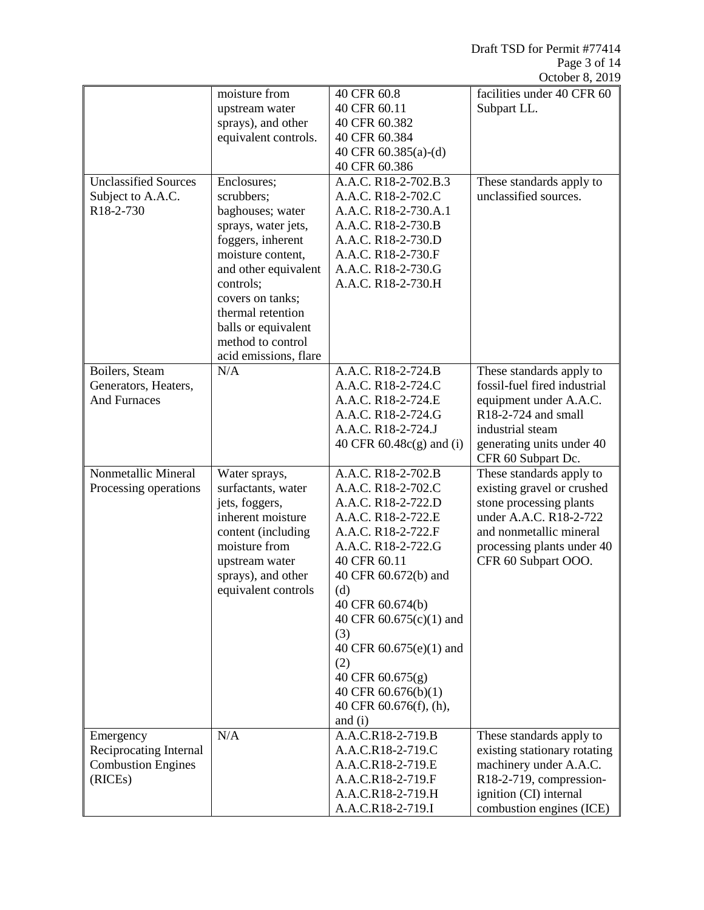Draft TSD for Permit #77414 Page 3 of 14 October 8, 2019

|                                        |                                          |                           | $OUUUUU$ , 201,                                          |
|----------------------------------------|------------------------------------------|---------------------------|----------------------------------------------------------|
|                                        | moisture from                            | 40 CFR 60.8               | facilities under 40 CFR 60                               |
|                                        | upstream water                           | 40 CFR 60.11              | Subpart LL.                                              |
|                                        | sprays), and other                       | 40 CFR 60.382             |                                                          |
|                                        | equivalent controls.                     | 40 CFR 60.384             |                                                          |
|                                        |                                          | 40 CFR 60.385(a)-(d)      |                                                          |
|                                        |                                          | 40 CFR 60.386             |                                                          |
| <b>Unclassified Sources</b>            | Enclosures;                              | A.A.C. R18-2-702.B.3      | These standards apply to                                 |
| Subject to A.A.C.                      | scrubbers;                               | A.A.C. R18-2-702.C        | unclassified sources.                                    |
| R18-2-730                              | baghouses; water                         | A.A.C. R18-2-730.A.1      |                                                          |
|                                        | sprays, water jets,                      | A.A.C. R18-2-730.B        |                                                          |
|                                        | foggers, inherent                        | A.A.C. R18-2-730.D        |                                                          |
|                                        | moisture content,                        | A.A.C. R18-2-730.F        |                                                          |
|                                        | and other equivalent                     | A.A.C. R18-2-730.G        |                                                          |
|                                        | controls;                                | A.A.C. R18-2-730.H        |                                                          |
|                                        | covers on tanks;                         |                           |                                                          |
|                                        | thermal retention                        |                           |                                                          |
|                                        | balls or equivalent<br>method to control |                           |                                                          |
|                                        |                                          |                           |                                                          |
|                                        | acid emissions, flare<br>N/A             | A.A.C. R18-2-724.B        |                                                          |
| Boilers, Steam<br>Generators, Heaters, |                                          | A.A.C. R18-2-724.C        | These standards apply to<br>fossil-fuel fired industrial |
| <b>And Furnaces</b>                    |                                          | A.A.C. R18-2-724.E        |                                                          |
|                                        |                                          | A.A.C. R18-2-724.G        | equipment under A.A.C.<br>R18-2-724 and small            |
|                                        |                                          | A.A.C. R18-2-724.J        | industrial steam                                         |
|                                        |                                          | 40 CFR 60.48c(g) and (i)  | generating units under 40                                |
|                                        |                                          |                           | CFR 60 Subpart Dc.                                       |
| Nonmetallic Mineral                    | Water sprays,                            | A.A.C. R18-2-702.B        | These standards apply to                                 |
| Processing operations                  | surfactants, water                       | A.A.C. R18-2-702.C        | existing gravel or crushed                               |
|                                        | jets, foggers,                           | A.A.C. R18-2-722.D        | stone processing plants                                  |
|                                        | inherent moisture                        | A.A.C. R18-2-722.E        | under A.A.C. R18-2-722                                   |
|                                        | content (including                       | A.A.C. R18-2-722.F        | and nonmetallic mineral                                  |
|                                        | moisture from                            | A.A.C. R18-2-722.G        | processing plants under 40                               |
|                                        | upstream water                           | 40 CFR 60.11              | CFR 60 Subpart OOO.                                      |
|                                        | sprays), and other                       | 40 CFR 60.672(b) and      |                                                          |
|                                        | equivalent controls                      | (d)                       |                                                          |
|                                        |                                          | 40 CFR 60.674(b)          |                                                          |
|                                        |                                          | 40 CFR 60.675(c)(1) and   |                                                          |
|                                        |                                          | (3)                       |                                                          |
|                                        |                                          | 40 CFR $60.675(e)(1)$ and |                                                          |
|                                        |                                          | (2)                       |                                                          |
|                                        |                                          | 40 CFR 60.675(g)          |                                                          |
|                                        |                                          | 40 CFR 60.676(b)(1)       |                                                          |
|                                        |                                          | 40 CFR 60.676(f), (h),    |                                                          |
|                                        |                                          | and $(i)$                 |                                                          |
| Emergency                              | N/A                                      | A.A.C.R18-2-719.B         | These standards apply to                                 |
| Reciprocating Internal                 |                                          | A.A.C.R18-2-719.C         | existing stationary rotating                             |
| <b>Combustion Engines</b>              |                                          | A.A.C.R18-2-719.E         | machinery under A.A.C.                                   |
| (RICEs)                                |                                          | A.A.C.R18-2-719.F         | R18-2-719, compression-                                  |
|                                        |                                          | A.A.C.R18-2-719.H         | ignition (CI) internal                                   |
|                                        |                                          | A.A.C.R18-2-719.I         | combustion engines (ICE)                                 |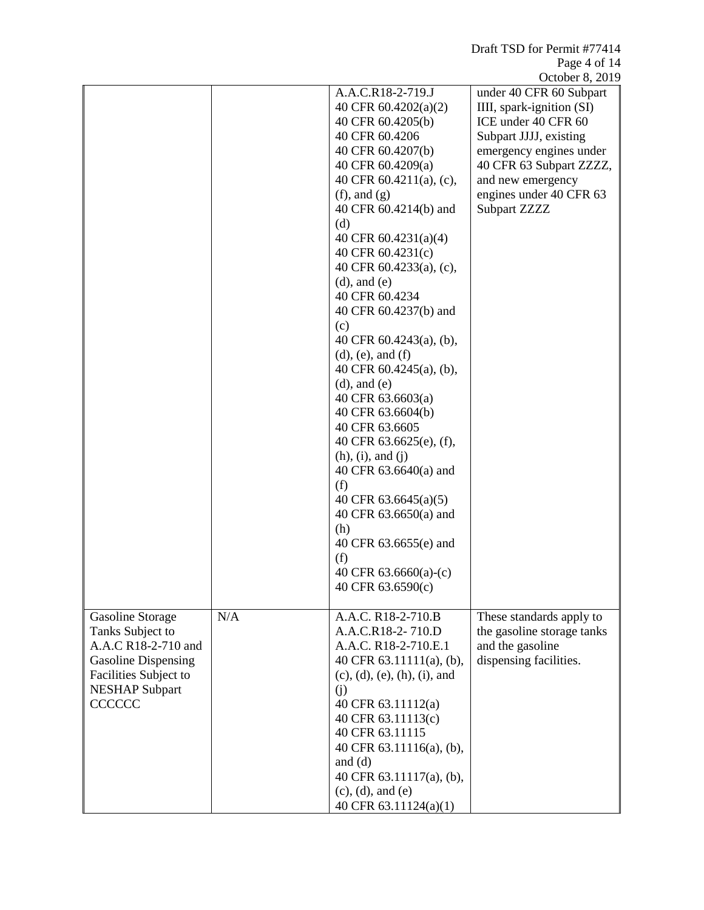|                            |     |                                     | October 8, 2019            |
|----------------------------|-----|-------------------------------------|----------------------------|
|                            |     | A.A.C.R18-2-719.J                   | under 40 CFR 60 Subpart    |
|                            |     | 40 CFR 60.4202(a)(2)                | IIII, spark-ignition (SI)  |
|                            |     | 40 CFR 60.4205(b)                   | ICE under 40 CFR 60        |
|                            |     | 40 CFR 60.4206                      | Subpart JJJJ, existing     |
|                            |     | 40 CFR 60.4207(b)                   | emergency engines under    |
|                            |     | 40 CFR 60.4209(a)                   | 40 CFR 63 Subpart ZZZZ,    |
|                            |     | 40 CFR 60.4211(a), (c),             | and new emergency          |
|                            |     | $(f)$ , and $(g)$                   | engines under 40 CFR 63    |
|                            |     | 40 CFR 60.4214(b) and               | Subpart ZZZZ               |
|                            |     | (d)                                 |                            |
|                            |     | 40 CFR $60.4231(a)(4)$              |                            |
|                            |     | 40 CFR 60.4231(c)                   |                            |
|                            |     | 40 CFR 60.4233(a), (c),             |                            |
|                            |     | $(d)$ , and $(e)$                   |                            |
|                            |     | 40 CFR 60.4234                      |                            |
|                            |     | 40 CFR 60.4237(b) and               |                            |
|                            |     | (c)                                 |                            |
|                            |     | 40 CFR 60.4243(a), (b),             |                            |
|                            |     | $(d)$ , $(e)$ , and $(f)$           |                            |
|                            |     | 40 CFR 60.4245(a), (b),             |                            |
|                            |     | $(d)$ , and $(e)$                   |                            |
|                            |     | 40 CFR 63.6603(a)                   |                            |
|                            |     | 40 CFR 63.6604(b)<br>40 CFR 63.6605 |                            |
|                            |     | 40 CFR 63.6625(e), (f),             |                            |
|                            |     | (h), (i), and (j)                   |                            |
|                            |     | 40 CFR 63.6640(a) and               |                            |
|                            |     | (f)                                 |                            |
|                            |     | 40 CFR $63.6645(a)(5)$              |                            |
|                            |     | 40 CFR 63.6650(a) and               |                            |
|                            |     | (h)                                 |                            |
|                            |     | 40 CFR 63.6655(e) and               |                            |
|                            |     | (f)                                 |                            |
|                            |     | 40 CFR $63.6660(a)-(c)$             |                            |
|                            |     | 40 CFR 63.6590(c)                   |                            |
|                            |     |                                     |                            |
| <b>Gasoline Storage</b>    | N/A | A.A.C. R18-2-710.B                  | These standards apply to   |
| Tanks Subject to           |     | A.A.C.R18-2-710.D                   | the gasoline storage tanks |
| A.A.C R18-2-710 and        |     | A.A.C. R18-2-710.E.1                | and the gasoline           |
| <b>Gasoline Dispensing</b> |     | 40 CFR $63.11111(a)$ , (b),         | dispensing facilities.     |
| Facilities Subject to      |     | $(c), (d), (e), (h), (i),$ and      |                            |
| <b>NESHAP Subpart</b>      |     | (i)                                 |                            |
| CCCCCC                     |     | 40 CFR 63.11112(a)                  |                            |
|                            |     | 40 CFR 63.11113(c)                  |                            |
|                            |     | 40 CFR 63.11115                     |                            |
|                            |     | 40 CFR 63.11116(a), (b),            |                            |
|                            |     | and $(d)$                           |                            |
|                            |     | 40 CFR 63.11117(a), (b),            |                            |
|                            |     | $(c)$ , $(d)$ , and $(e)$           |                            |
|                            |     | 40 CFR 63.11124(a)(1)               |                            |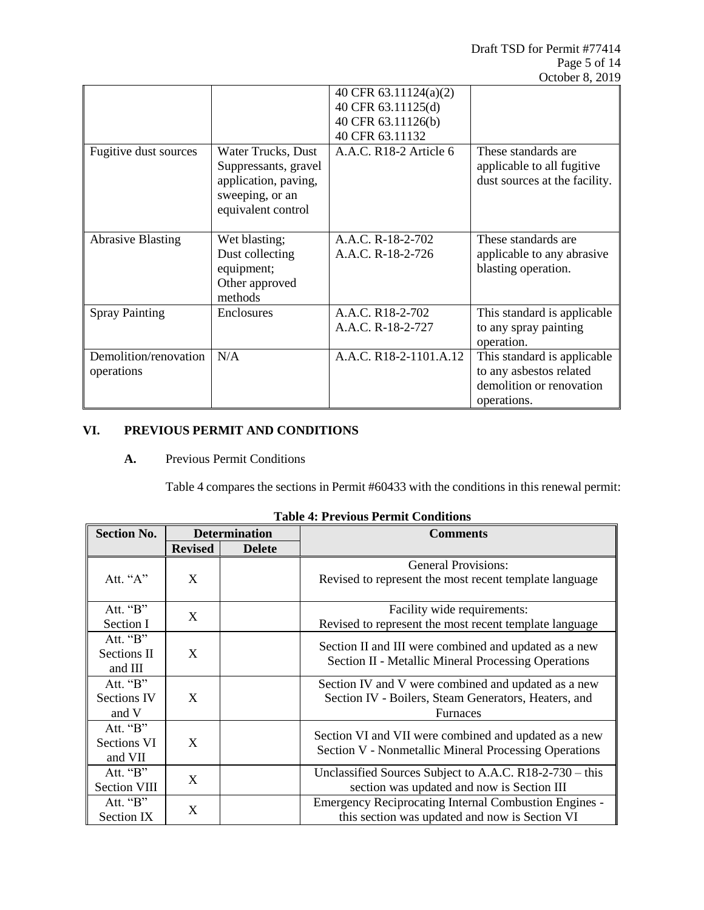|                                     |                                                                                                             | 40 CFR 63.11124(a)(2)                  |                                                                                                   |
|-------------------------------------|-------------------------------------------------------------------------------------------------------------|----------------------------------------|---------------------------------------------------------------------------------------------------|
|                                     |                                                                                                             | 40 CFR 63.11125(d)                     |                                                                                                   |
|                                     |                                                                                                             | 40 CFR 63.11126(b)                     |                                                                                                   |
|                                     |                                                                                                             | 40 CFR 63.11132                        |                                                                                                   |
| Fugitive dust sources               | Water Trucks, Dust<br>Suppressants, gravel<br>application, paving,<br>sweeping, or an<br>equivalent control | A.A.C. R18-2 Article 6                 | These standards are<br>applicable to all fugitive<br>dust sources at the facility.                |
| <b>Abrasive Blasting</b>            | Wet blasting;<br>Dust collecting<br>equipment;<br>Other approved<br>methods                                 | A.A.C. R-18-2-702<br>A.A.C. R-18-2-726 | These standards are.<br>applicable to any abrasive<br>blasting operation.                         |
| <b>Spray Painting</b>               | Enclosures                                                                                                  | A.A.C. R18-2-702<br>A.A.C. R-18-2-727  | This standard is applicable<br>to any spray painting<br>operation.                                |
| Demolition/renovation<br>operations | N/A                                                                                                         | A.A.C. R18-2-1101.A.12                 | This standard is applicable<br>to any asbestos related<br>demolition or renovation<br>operations. |

# **VI. PREVIOUS PERMIT AND CONDITIONS**

**A.** Previous Permit Conditions

Table 4 compares the sections in Permit #60433 with the conditions in this renewal permit:

| <b>Section No.</b>                      |                | <b>Determination</b> | <b>Comments</b>                                                                                                                |  |
|-----------------------------------------|----------------|----------------------|--------------------------------------------------------------------------------------------------------------------------------|--|
|                                         | <b>Revised</b> | <b>Delete</b>        |                                                                                                                                |  |
| Att. " $A$ "                            | X              |                      | <b>General Provisions:</b><br>Revised to represent the most recent template language                                           |  |
| Att. "B"<br>Section I                   | X              |                      | Facility wide requirements:<br>Revised to represent the most recent template language                                          |  |
| Att. "B"<br>Sections II<br>and III      | X              |                      | Section II and III were combined and updated as a new<br>Section II - Metallic Mineral Processing Operations                   |  |
| Att. "B"<br><b>Sections IV</b><br>and V | X              |                      | Section IV and V were combined and updated as a new<br>Section IV - Boilers, Steam Generators, Heaters, and<br><b>Furnaces</b> |  |
| Att. "B"<br>Sections VI<br>and VII      | X              |                      | Section VI and VII were combined and updated as a new<br>Section V - Nonmetallic Mineral Processing Operations                 |  |
| Att. "B"<br><b>Section VIII</b>         | X              |                      | Unclassified Sources Subject to A.A.C. R18-2-730 - this<br>section was updated and now is Section III                          |  |
| Att. "B"<br>Section IX                  | X              |                      | <b>Emergency Reciprocating Internal Combustion Engines -</b><br>this section was updated and now is Section VI                 |  |

|  |  |  | <b>Table 4: Previous Permit Conditions</b> |
|--|--|--|--------------------------------------------|
|--|--|--|--------------------------------------------|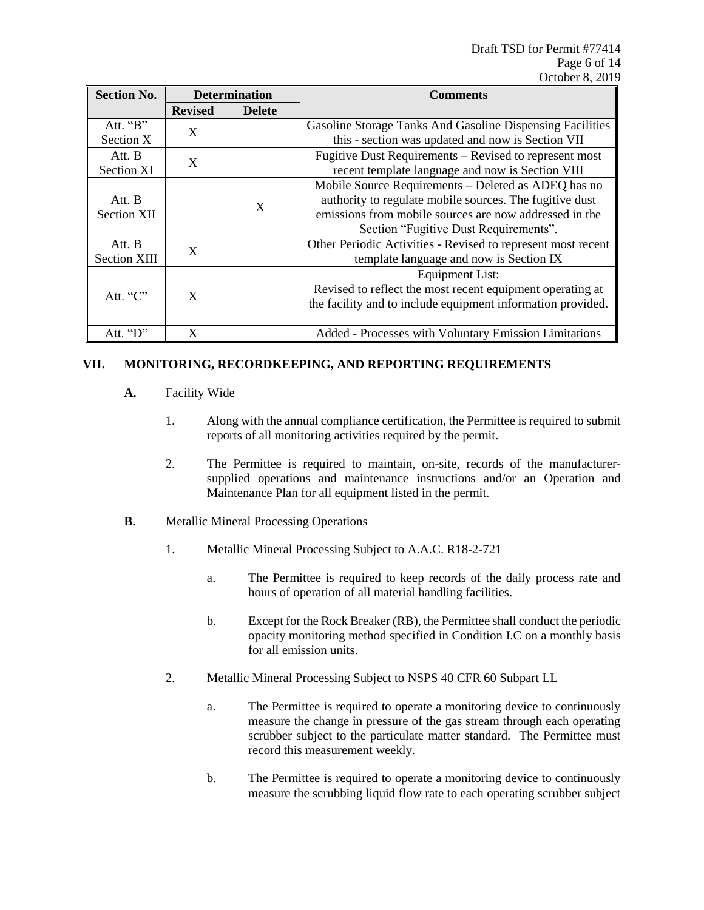| <b>Section No.</b>            |                | <b>Determination</b><br><b>Comments</b> |                                                                                                                                                                                                                   |
|-------------------------------|----------------|-----------------------------------------|-------------------------------------------------------------------------------------------------------------------------------------------------------------------------------------------------------------------|
|                               | <b>Revised</b> | <b>Delete</b>                           |                                                                                                                                                                                                                   |
| Att. "B"<br>Section X         | X              |                                         | Gasoline Storage Tanks And Gasoline Dispensing Facilities<br>this - section was updated and now is Section VII                                                                                                    |
| Att. B<br><b>Section XI</b>   | X              |                                         | Fugitive Dust Requirements – Revised to represent most<br>recent template language and now is Section VIII                                                                                                        |
| Att. B<br><b>Section XII</b>  |                | X                                       | Mobile Source Requirements - Deleted as ADEQ has no<br>authority to regulate mobile sources. The fugitive dust<br>emissions from mobile sources are now addressed in the<br>Section "Fugitive Dust Requirements". |
| Att. B<br><b>Section XIII</b> | X              |                                         | Other Periodic Activities - Revised to represent most recent<br>template language and now is Section IX                                                                                                           |
| Att. " $C$ "                  | X              |                                         | <b>Equipment List:</b><br>Revised to reflect the most recent equipment operating at<br>the facility and to include equipment information provided.                                                                |
| Att. "D"                      | X              |                                         | Added - Processes with Voluntary Emission Limitations                                                                                                                                                             |

## **VII. MONITORING, RECORDKEEPING, AND REPORTING REQUIREMENTS**

- **A.** Facility Wide
	- 1. Along with the annual compliance certification, the Permittee is required to submit reports of all monitoring activities required by the permit.
	- 2. The Permittee is required to maintain, on-site, records of the manufacturersupplied operations and maintenance instructions and/or an Operation and Maintenance Plan for all equipment listed in the permit.
- **B.** Metallic Mineral Processing Operations
	- 1. Metallic Mineral Processing Subject to A.A.C. R18-2-721
		- a. The Permittee is required to keep records of the daily process rate and hours of operation of all material handling facilities.
		- b. Except for the Rock Breaker (RB), the Permittee shall conduct the periodic opacity monitoring method specified in Condition I.C on a monthly basis for all emission units.
	- 2. Metallic Mineral Processing Subject to NSPS 40 CFR 60 Subpart LL
		- a. The Permittee is required to operate a monitoring device to continuously measure the change in pressure of the gas stream through each operating scrubber subject to the particulate matter standard. The Permittee must record this measurement weekly.
		- b. The Permittee is required to operate a monitoring device to continuously measure the scrubbing liquid flow rate to each operating scrubber subject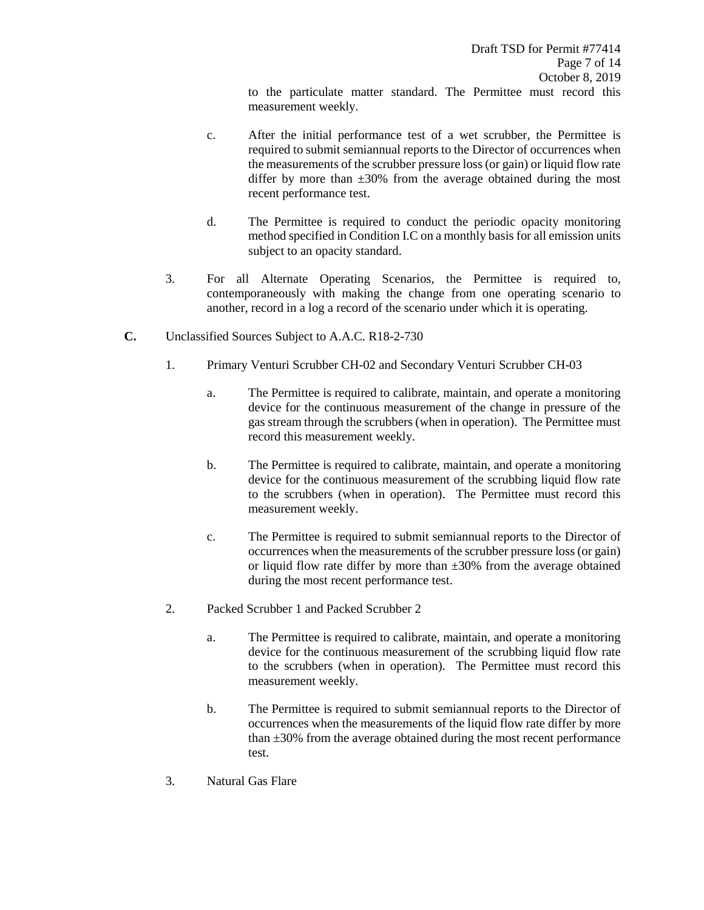to the particulate matter standard. The Permittee must record this measurement weekly.

- c. After the initial performance test of a wet scrubber, the Permittee is required to submit semiannual reports to the Director of occurrences when the measurements of the scrubber pressure loss (or gain) or liquid flow rate differ by more than  $\pm 30\%$  from the average obtained during the most recent performance test.
- d. The Permittee is required to conduct the periodic opacity monitoring method specified in Condition I.C on a monthly basis for all emission units subject to an opacity standard.
- 3. For all Alternate Operating Scenarios, the Permittee is required to, contemporaneously with making the change from one operating scenario to another, record in a log a record of the scenario under which it is operating.
- **C.** Unclassified Sources Subject to A.A.C. R18-2-730
	- 1. Primary Venturi Scrubber CH-02 and Secondary Venturi Scrubber CH-03
		- a. The Permittee is required to calibrate, maintain, and operate a monitoring device for the continuous measurement of the change in pressure of the gas stream through the scrubbers (when in operation). The Permittee must record this measurement weekly.
		- b. The Permittee is required to calibrate, maintain, and operate a monitoring device for the continuous measurement of the scrubbing liquid flow rate to the scrubbers (when in operation). The Permittee must record this measurement weekly.
		- c. The Permittee is required to submit semiannual reports to the Director of occurrences when the measurements of the scrubber pressure loss (or gain) or liquid flow rate differ by more than  $\pm 30\%$  from the average obtained during the most recent performance test.
	- 2. Packed Scrubber 1 and Packed Scrubber 2
		- a. The Permittee is required to calibrate, maintain, and operate a monitoring device for the continuous measurement of the scrubbing liquid flow rate to the scrubbers (when in operation). The Permittee must record this measurement weekly.
		- b. The Permittee is required to submit semiannual reports to the Director of occurrences when the measurements of the liquid flow rate differ by more than  $\pm 30\%$  from the average obtained during the most recent performance test.
	- 3. Natural Gas Flare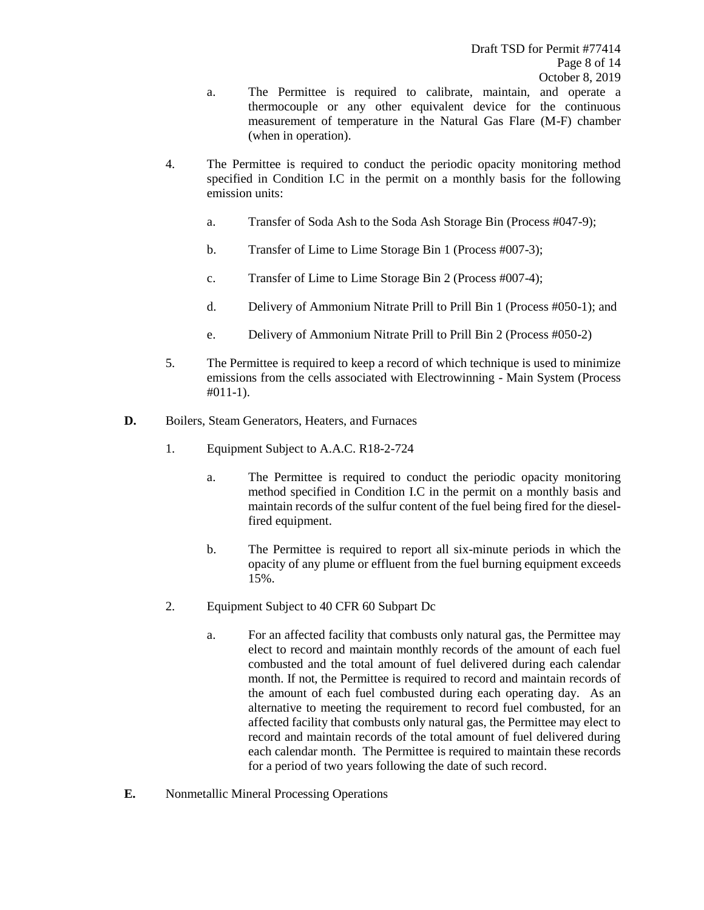- a. The Permittee is required to calibrate, maintain, and operate a thermocouple or any other equivalent device for the continuous measurement of temperature in the Natural Gas Flare (M-F) chamber (when in operation).
- 4. The Permittee is required to conduct the periodic opacity monitoring method specified in Condition I.C in the permit on a monthly basis for the following emission units:
	- a. Transfer of Soda Ash to the Soda Ash Storage Bin (Process #047-9);
	- b. Transfer of Lime to Lime Storage Bin 1 (Process #007-3);
	- c. Transfer of Lime to Lime Storage Bin 2 (Process #007-4);
	- d. Delivery of Ammonium Nitrate Prill to Prill Bin 1 (Process #050-1); and
	- e. Delivery of Ammonium Nitrate Prill to Prill Bin 2 (Process #050-2)
- 5. The Permittee is required to keep a record of which technique is used to minimize emissions from the cells associated with Electrowinning - Main System (Process #011-1).
- **D.** Boilers, Steam Generators, Heaters, and Furnaces
	- 1. Equipment Subject to A.A.C. R18-2-724
		- a. The Permittee is required to conduct the periodic opacity monitoring method specified in Condition I.C in the permit on a monthly basis and maintain records of the sulfur content of the fuel being fired for the dieselfired equipment.
		- b. The Permittee is required to report all six-minute periods in which the opacity of any plume or effluent from the fuel burning equipment exceeds 15%.
	- 2. Equipment Subject to 40 CFR 60 Subpart Dc
		- a. For an affected facility that combusts only natural gas, the Permittee may elect to record and maintain monthly records of the amount of each fuel combusted and the total amount of fuel delivered during each calendar month. If not, the Permittee is required to record and maintain records of the amount of each fuel combusted during each operating day. As an alternative to meeting the requirement to record fuel combusted, for an affected facility that combusts only natural gas, the Permittee may elect to record and maintain records of the total amount of fuel delivered during each calendar month. The Permittee is required to maintain these records for a period of two years following the date of such record.
- **E.** Nonmetallic Mineral Processing Operations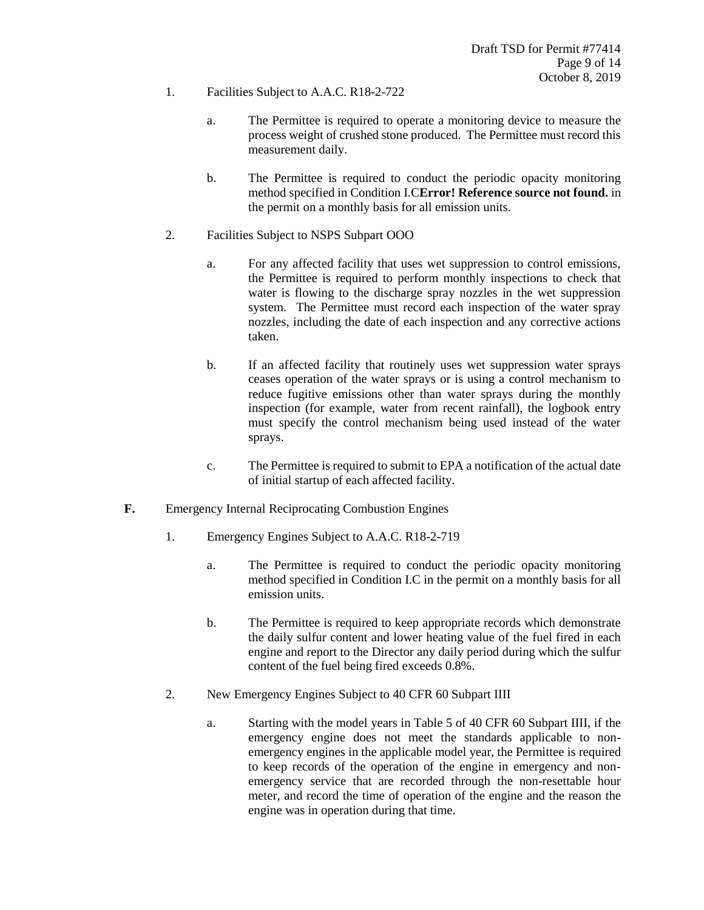- 1. Facilities Subject to A.A.C. R18-2-722
	- a. The Permittee is required to operate a monitoring device to measure the process weight of crushed stone produced. The Permittee must record this measurement daily.
	- b. The Permittee is required to conduct the periodic opacity monitoring method specified in Condition I.C**Error! Reference source not found.** in the permit on a monthly basis for all emission units.
- 2. Facilities Subject to NSPS Subpart OOO
	- a. For any affected facility that uses wet suppression to control emissions, the Permittee is required to perform monthly inspections to check that water is flowing to the discharge spray nozzles in the wet suppression system. The Permittee must record each inspection of the water spray nozzles, including the date of each inspection and any corrective actions taken.
	- b. If an affected facility that routinely uses wet suppression water sprays ceases operation of the water sprays or is using a control mechanism to reduce fugitive emissions other than water sprays during the monthly inspection (for example, water from recent rainfall), the logbook entry must specify the control mechanism being used instead of the water sprays.
	- c. The Permittee is required to submit to EPA a notification of the actual date of initial startup of each affected facility.
- **F.** Emergency Internal Reciprocating Combustion Engines
	- 1. Emergency Engines Subject to A.A.C. R18-2-719
		- a. The Permittee is required to conduct the periodic opacity monitoring method specified in Condition I.C in the permit on a monthly basis for all emission units.
		- b. The Permittee is required to keep appropriate records which demonstrate the daily sulfur content and lower heating value of the fuel fired in each engine and report to the Director any daily period during which the sulfur content of the fuel being fired exceeds 0.8%.
	- 2. New Emergency Engines Subject to 40 CFR 60 Subpart IIII
		- a. Starting with the model years in Table 5 of 40 CFR 60 Subpart IIII, if the emergency engine does not meet the standards applicable to nonemergency engines in the applicable model year, the Permittee is required to keep records of the operation of the engine in emergency and nonemergency service that are recorded through the non-resettable hour meter, and record the time of operation of the engine and the reason the engine was in operation during that time.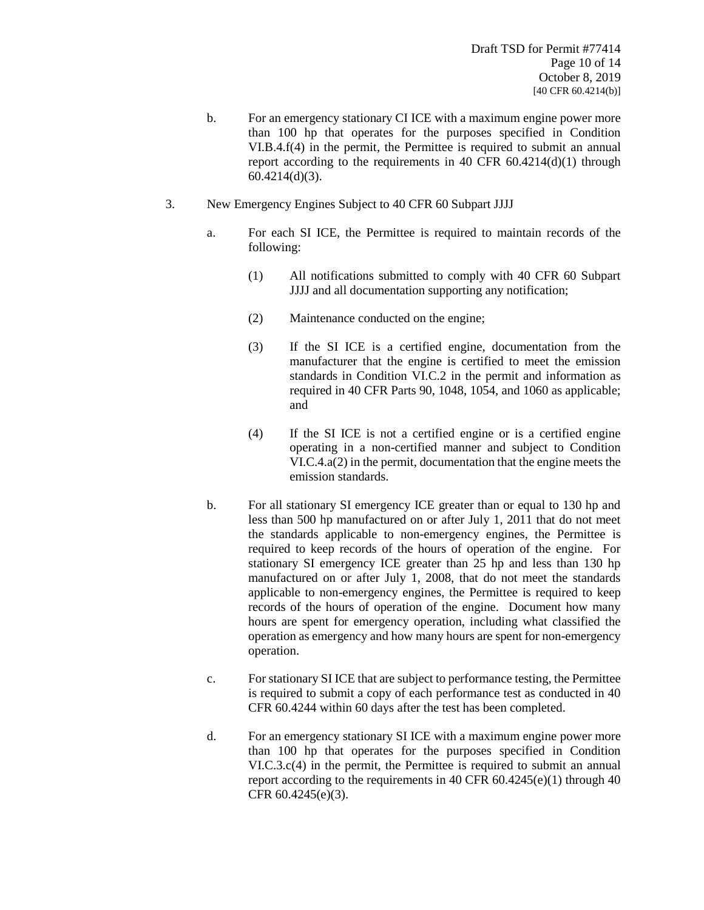- b. For an emergency stationary CI ICE with a maximum engine power more than 100 hp that operates for the purposes specified in Condition VI.B.4.f(4) in the permit, the Permittee is required to submit an annual report according to the requirements in 40 CFR 60.4214(d)(1) through 60.4214(d)(3).
- 3. New Emergency Engines Subject to 40 CFR 60 Subpart JJJJ
	- a. For each SI ICE, the Permittee is required to maintain records of the following:
		- (1) All notifications submitted to comply with 40 CFR 60 Subpart JJJJ and all documentation supporting any notification;
		- (2) Maintenance conducted on the engine;
		- (3) If the SI ICE is a certified engine, documentation from the manufacturer that the engine is certified to meet the emission standards in Condition VI.C.2 in the permit and information as required in 40 CFR Parts 90, 1048, 1054, and 1060 as applicable; and
		- (4) If the SI ICE is not a certified engine or is a certified engine operating in a non-certified manner and subject to Condition VI.C.4.a(2) in the permit, documentation that the engine meets the emission standards.
	- b. For all stationary SI emergency ICE greater than or equal to 130 hp and less than 500 hp manufactured on or after July 1, 2011 that do not meet the standards applicable to non-emergency engines, the Permittee is required to keep records of the hours of operation of the engine. For stationary SI emergency ICE greater than 25 hp and less than 130 hp manufactured on or after July 1, 2008, that do not meet the standards applicable to non-emergency engines, the Permittee is required to keep records of the hours of operation of the engine. Document how many hours are spent for emergency operation, including what classified the operation as emergency and how many hours are spent for non-emergency operation.
	- c. For stationary SI ICE that are subject to performance testing, the Permittee is required to submit a copy of each performance test as conducted in 40 CFR 60.4244 within 60 days after the test has been completed.
	- d. For an emergency stationary SI ICE with a maximum engine power more than 100 hp that operates for the purposes specified in Condition VI.C.3.c(4) in the permit, the Permittee is required to submit an annual report according to the requirements in 40 CFR  $60.4245(e)(1)$  through 40 CFR 60.4245(e)(3).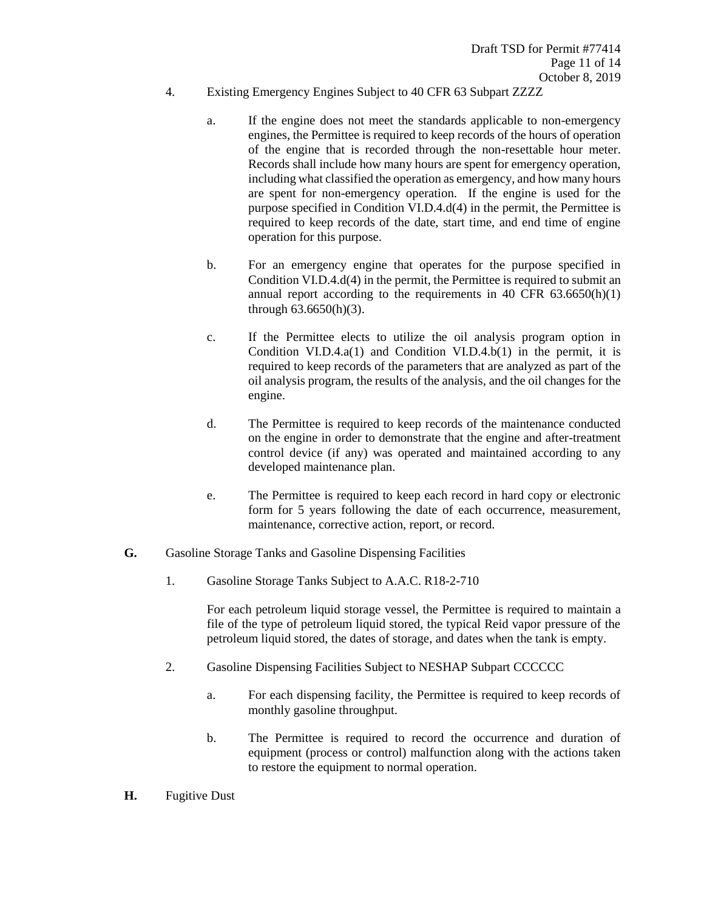- 4. Existing Emergency Engines Subject to 40 CFR 63 Subpart ZZZZ
	- a. If the engine does not meet the standards applicable to non-emergency engines, the Permittee is required to keep records of the hours of operation of the engine that is recorded through the non-resettable hour meter. Records shall include how many hours are spent for emergency operation, including what classified the operation as emergency, and how many hours are spent for non-emergency operation. If the engine is used for the purpose specified in Condition VI.D.4.d(4) in the permit, the Permittee is required to keep records of the date, start time, and end time of engine operation for this purpose.
	- b. For an emergency engine that operates for the purpose specified in Condition VI.D.4.d(4) in the permit, the Permittee is required to submit an annual report according to the requirements in  $40 \text{ CFR } 63.6650(h)(1)$ through 63.6650(h)(3).
	- c. If the Permittee elects to utilize the oil analysis program option in Condition VI.D.4.a(1) and Condition VI.D.4.b(1) in the permit, it is required to keep records of the parameters that are analyzed as part of the oil analysis program, the results of the analysis, and the oil changes for the engine.
	- d. The Permittee is required to keep records of the maintenance conducted on the engine in order to demonstrate that the engine and after-treatment control device (if any) was operated and maintained according to any developed maintenance plan.
	- e. The Permittee is required to keep each record in hard copy or electronic form for 5 years following the date of each occurrence, measurement, maintenance, corrective action, report, or record.
- **G.** Gasoline Storage Tanks and Gasoline Dispensing Facilities
	- 1. Gasoline Storage Tanks Subject to A.A.C. R18-2-710

For each petroleum liquid storage vessel, the Permittee is required to maintain a file of the type of petroleum liquid stored, the typical Reid vapor pressure of the petroleum liquid stored, the dates of storage, and dates when the tank is empty.

- 2. Gasoline Dispensing Facilities Subject to NESHAP Subpart CCCCCC
	- a. For each dispensing facility, the Permittee is required to keep records of monthly gasoline throughput.
	- b. The Permittee is required to record the occurrence and duration of equipment (process or control) malfunction along with the actions taken to restore the equipment to normal operation.
- **H.** Fugitive Dust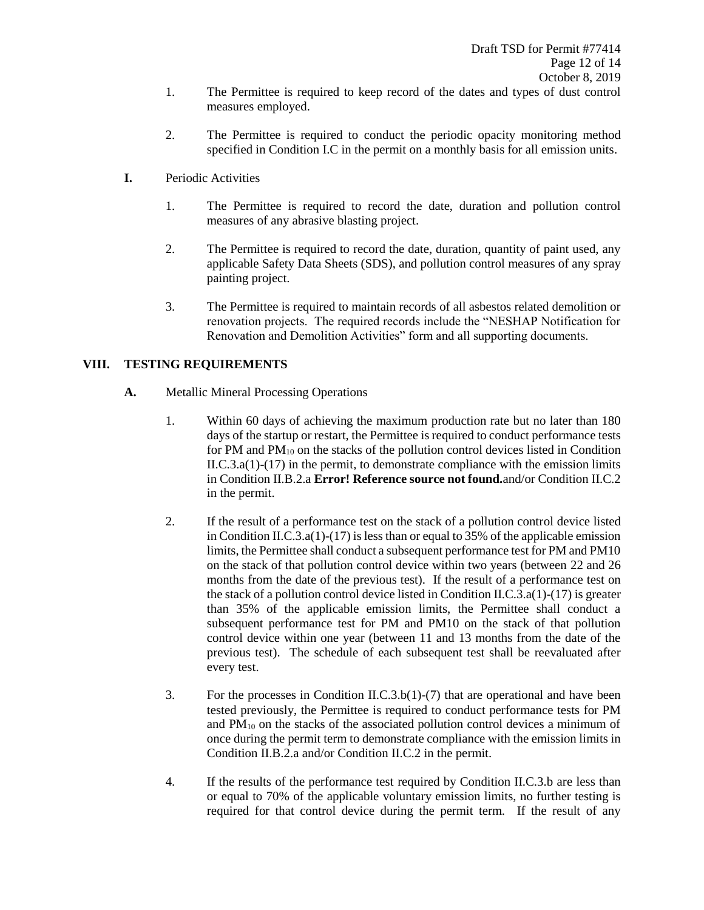- 1. The Permittee is required to keep record of the dates and types of dust control measures employed.
- 2. The Permittee is required to conduct the periodic opacity monitoring method specified in Condition I.C in the permit on a monthly basis for all emission units.
- **I.** Periodic Activities
	- 1. The Permittee is required to record the date, duration and pollution control measures of any abrasive blasting project.
	- 2. The Permittee is required to record the date, duration, quantity of paint used, any applicable Safety Data Sheets (SDS), and pollution control measures of any spray painting project.
	- 3. The Permittee is required to maintain records of all asbestos related demolition or renovation projects. The required records include the "NESHAP Notification for Renovation and Demolition Activities" form and all supporting documents.

## **VIII. TESTING REQUIREMENTS**

- **A.** Metallic Mineral Processing Operations
	- 1. Within 60 days of achieving the maximum production rate but no later than 180 days of the startup or restart, the Permittee is required to conduct performance tests for PM and  $PM_{10}$  on the stacks of the pollution control devices listed in Condition  $II.C.3.a(1)-(17)$  in the permit, to demonstrate compliance with the emission limits in Condition II.B.2.a **Error! Reference source not found.**and/or Condition II.C.2 in the permit.
	- 2. If the result of a performance test on the stack of a pollution control device listed in Condition II.C.3.a(1)-(17) is less than or equal to 35% of the applicable emission limits, the Permittee shall conduct a subsequent performance test for PM and PM10 on the stack of that pollution control device within two years (between 22 and 26 months from the date of the previous test). If the result of a performance test on the stack of a pollution control device listed in Condition II.C.3.a(1)-(17) is greater than 35% of the applicable emission limits, the Permittee shall conduct a subsequent performance test for PM and PM10 on the stack of that pollution control device within one year (between 11 and 13 months from the date of the previous test). The schedule of each subsequent test shall be reevaluated after every test.
	- 3. For the processes in Condition II.C.3.b(1)-(7) that are operational and have been tested previously, the Permittee is required to conduct performance tests for PM and PM<sup>10</sup> on the stacks of the associated pollution control devices a minimum of once during the permit term to demonstrate compliance with the emission limits in Condition II.B.2.a and/or Condition II.C.2 in the permit.
	- 4. If the results of the performance test required by Condition II.C.3.b are less than or equal to 70% of the applicable voluntary emission limits, no further testing is required for that control device during the permit term. If the result of any